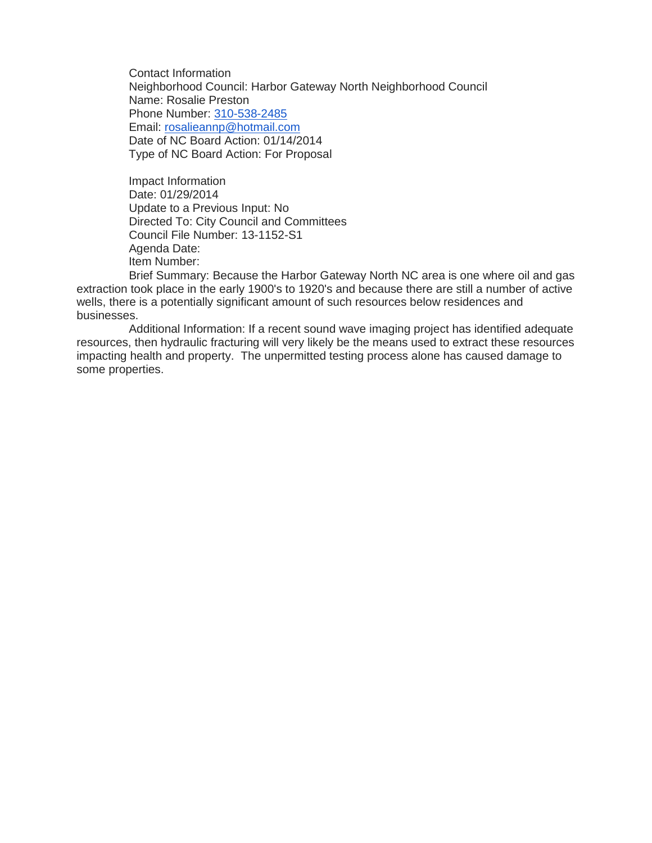Contact Information Neighborhood Council: Harbor Gateway North Neighborhood Council Name: Rosalie Preston Phone Number: [310-538-2485](tel:310-538-2485) Email: [rosalieannp@hotmail.com](mailto:rosalieannp@hotmail.com) Date of NC Board Action: 01/14/2014 Type of NC Board Action: For Proposal

Impact Information Date: 01/29/2014 Update to a Previous Input: No Directed To: City Council and Committees Council File Number: 13-1152-S1 Agenda Date: Item Number:

Brief Summary: Because the Harbor Gateway North NC area is one where oil and gas extraction took place in the early 1900's to 1920's and because there are still a number of active wells, there is a potentially significant amount of such resources below residences and businesses.

Additional Information: If a recent sound wave imaging project has identified adequate resources, then hydraulic fracturing will very likely be the means used to extract these resources impacting health and property. The unpermitted testing process alone has caused damage to some properties.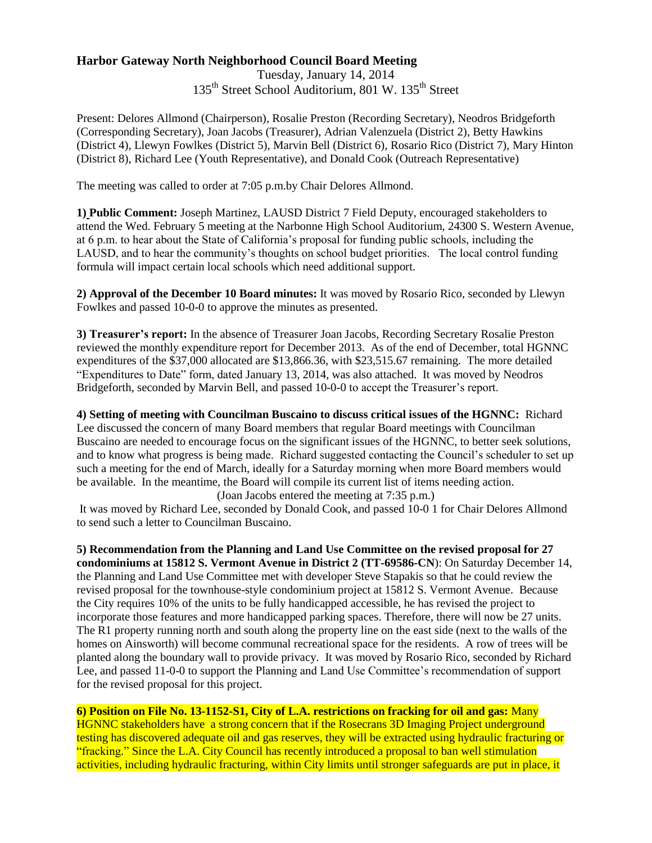## **Harbor Gateway North Neighborhood Council Board Meeting**

Tuesday, January 14, 2014 135<sup>th</sup> Street School Auditorium, 801 W. 135<sup>th</sup> Street

Present: Delores Allmond (Chairperson), Rosalie Preston (Recording Secretary), Neodros Bridgeforth (Corresponding Secretary), Joan Jacobs (Treasurer), Adrian Valenzuela (District 2), Betty Hawkins (District 4), Llewyn Fowlkes (District 5), Marvin Bell (District 6), Rosario Rico (District 7), Mary Hinton (District 8), Richard Lee (Youth Representative), and Donald Cook (Outreach Representative)

The meeting was called to order at 7:05 p.m.by Chair Delores Allmond.

**1) Public Comment:** Joseph Martinez, LAUSD District 7 Field Deputy, encouraged stakeholders to attend the Wed. February 5 meeting at the Narbonne High School Auditorium, 24300 S. Western Avenue, at 6 p.m. to hear about the State of California's proposal for funding public schools, including the LAUSD, and to hear the community's thoughts on school budget priorities. The local control funding formula will impact certain local schools which need additional support.

**2) Approval of the December 10 Board minutes:** It was moved by Rosario Rico, seconded by Llewyn Fowlkes and passed 10-0-0 to approve the minutes as presented.

**3) Treasurer's report:** In the absence of Treasurer Joan Jacobs, Recording Secretary Rosalie Preston reviewed the monthly expenditure report for December 2013. As of the end of December, total HGNNC expenditures of the \$37,000 allocated are \$13,866.36, with \$23,515.67 remaining. The more detailed "Expenditures to Date" form, dated January 13, 2014, was also attached. It was moved by Neodros Bridgeforth, seconded by Marvin Bell, and passed 10-0-0 to accept the Treasurer's report.

**4) Setting of meeting with Councilman Buscaino to discuss critical issues of the HGNNC:** Richard Lee discussed the concern of many Board members that regular Board meetings with Councilman Buscaino are needed to encourage focus on the significant issues of the HGNNC, to better seek solutions, and to know what progress is being made. Richard suggested contacting the Council's scheduler to set up such a meeting for the end of March, ideally for a Saturday morning when more Board members would be available. In the meantime, the Board will compile its current list of items needing action. (Joan Jacobs entered the meeting at 7:35 p.m.)

It was moved by Richard Lee, seconded by Donald Cook, and passed 10-0 1 for Chair Delores Allmond to send such a letter to Councilman Buscaino.

**5) Recommendation from the Planning and Land Use Committee on the revised proposal for 27 condominiums at 15812 S. Vermont Avenue in District 2 (TT-69586-CN**): On Saturday December 14, the Planning and Land Use Committee met with developer Steve Stapakis so that he could review the revised proposal for the townhouse-style condominium project at 15812 S. Vermont Avenue. Because the City requires 10% of the units to be fully handicapped accessible, he has revised the project to incorporate those features and more handicapped parking spaces. Therefore, there will now be 27 units. The R1 property running north and south along the property line on the east side (next to the walls of the homes on Ainsworth) will become communal recreational space for the residents. A row of trees will be planted along the boundary wall to provide privacy. It was moved by Rosario Rico, seconded by Richard Lee, and passed 11-0-0 to support the Planning and Land Use Committee's recommendation of support for the revised proposal for this project.

**6) Position on File No. 13-1152-S1, City of L.A. restrictions on fracking for oil and gas:** Many

HGNNC stakeholders have a strong concern that if the Rosecrans 3D Imaging Project underground testing has discovered adequate oil and gas reserves, they will be extracted using hydraulic fracturing or "fracking." Since the L.A. City Council has recently introduced a proposal to ban well stimulation activities, including hydraulic fracturing, within City limits until stronger safeguards are put in place, it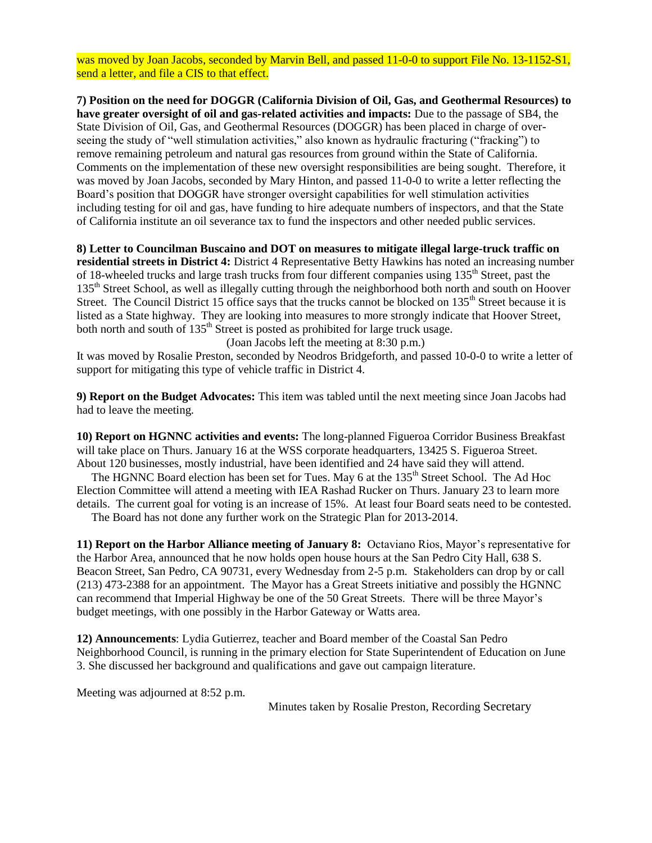was moved by Joan Jacobs, seconded by Marvin Bell, and passed 11-0-0 to support File No. 13-1152-S1, send a letter, and file a CIS to that effect.

**7) Position on the need for DOGGR (California Division of Oil, Gas, and Geothermal Resources) to have greater oversight of oil and gas-related activities and impacts:** Due to the passage of SB4, the State Division of Oil, Gas, and Geothermal Resources (DOGGR) has been placed in charge of overseeing the study of "well stimulation activities," also known as hydraulic fracturing ("fracking") to remove remaining petroleum and natural gas resources from ground within the State of California. Comments on the implementation of these new oversight responsibilities are being sought. Therefore, it was moved by Joan Jacobs, seconded by Mary Hinton, and passed 11-0-0 to write a letter reflecting the Board's position that DOGGR have stronger oversight capabilities for well stimulation activities including testing for oil and gas, have funding to hire adequate numbers of inspectors, and that the State of California institute an oil severance tax to fund the inspectors and other needed public services.

**8) Letter to Councilman Buscaino and DOT on measures to mitigate illegal large-truck traffic on residential streets in District 4:** District 4 Representative Betty Hawkins has noted an increasing number of 18-wheeled trucks and large trash trucks from four different companies using 135<sup>th</sup> Street, past the 135<sup>th</sup> Street School, as well as illegally cutting through the neighborhood both north and south on Hoover Street. The Council District 15 office says that the trucks cannot be blocked on 135<sup>th</sup> Street because it is listed as a State highway. They are looking into measures to more strongly indicate that Hoover Street, both north and south of 135<sup>th</sup> Street is posted as prohibited for large truck usage.

(Joan Jacobs left the meeting at 8:30 p.m.)

It was moved by Rosalie Preston, seconded by Neodros Bridgeforth, and passed 10-0-0 to write a letter of support for mitigating this type of vehicle traffic in District 4.

**9) Report on the Budget Advocates:** This item was tabled until the next meeting since Joan Jacobs had had to leave the meeting.

**10) Report on HGNNC activities and events:** The long-planned Figueroa Corridor Business Breakfast will take place on Thurs. January 16 at the WSS corporate headquarters, 13425 S. Figueroa Street. About 120 businesses, mostly industrial, have been identified and 24 have said they will attend.

The HGNNC Board election has been set for Tues. May 6 at the 135<sup>th</sup> Street School. The Ad Hoc Election Committee will attend a meeting with IEA Rashad Rucker on Thurs. January 23 to learn more details. The current goal for voting is an increase of 15%. At least four Board seats need to be contested.

The Board has not done any further work on the Strategic Plan for 2013-2014.

**11) Report on the Harbor Alliance meeting of January 8:** Octaviano Rios, Mayor's representative for the Harbor Area, announced that he now holds open house hours at the San Pedro City Hall, 638 S. Beacon Street, San Pedro, CA 90731, every Wednesday from 2-5 p.m. Stakeholders can drop by or call (213) 473-2388 for an appointment. The Mayor has a Great Streets initiative and possibly the HGNNC can recommend that Imperial Highway be one of the 50 Great Streets. There will be three Mayor's budget meetings, with one possibly in the Harbor Gateway or Watts area.

**12) Announcements**: Lydia Gutierrez, teacher and Board member of the Coastal San Pedro Neighborhood Council, is running in the primary election for State Superintendent of Education on June 3. She discussed her background and qualifications and gave out campaign literature.

Meeting was adjourned at 8:52 p.m.

Minutes taken by Rosalie Preston, Recording Secretary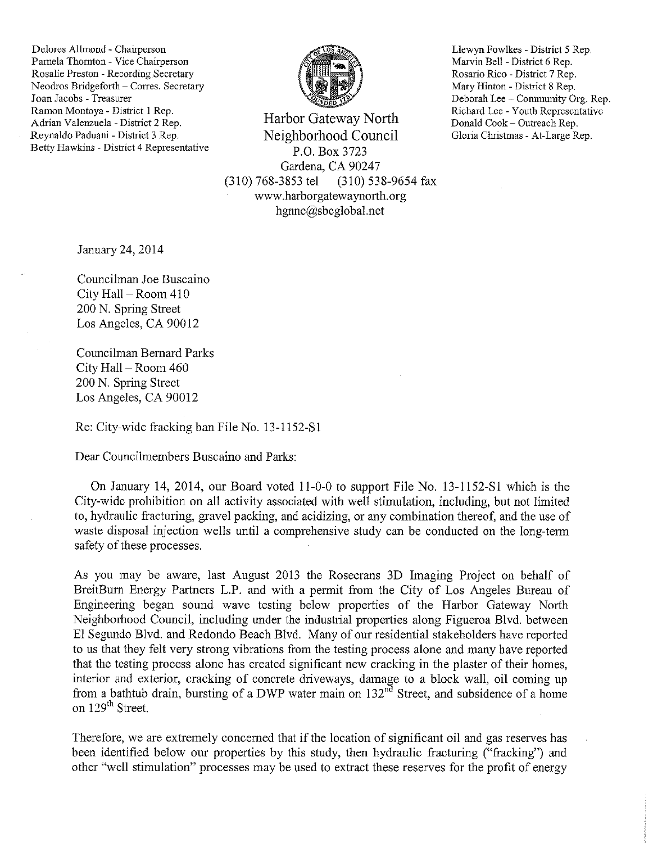Delores Allmond - Chairperson Pamela Thornton - Vice Chairperson Rosalie Preston - Recording Secretary Neodros Bridgeforth - Corres. Secretary Joan Jacobs - Treasurer Ramon Montoya - District 1 Rep. Adrian Valenzuela - District 2 Rep. Revnaldo Paduani - District 3 Rep. Betty Hawkins - District 4 Representative



Harbor Gateway North Neighborhood Council P.O. Box 3723 Gardena, CA 90247  $(310)$  768-3853 tel (310) 538-9654 fax www.harborgatewaynorth.org hgnnc@sbcglobal.net

Llewyn Fowlkes - District 5 Rep. Marvin Bell - District 6 Rep. Rosario Rico - District 7 Rep. Mary Hinton - District 8 Rep. Deborah Lee - Community Org. Rep. Richard Lee - Youth Representative Donald Cook - Outreach Rep. Gloria Christmas - At-Large Rep.

January 24, 2014

Councilman Joe Buscaino City Hall – Room 410 200 N. Spring Street Los Angeles, CA 90012

Councilman Bernard Parks City Hall - Room 460 200 N. Spring Street Los Angeles, CA 90012

Re: City-wide fracking ban File No. 13-1152-S1

Dear Councilmembers Buscaino and Parks:

On January 14, 2014, our Board voted 11-0-0 to support File No. 13-1152-S1 which is the City-wide prohibition on all activity associated with well stimulation, including, but not limited to, hydraulic fracturing, gravel packing, and acidizing, or any combination thereof, and the use of waste disposal injection wells until a comprehensive study can be conducted on the long-term safety of these processes.

As you may be aware, last August 2013 the Rosecrans 3D Imaging Project on behalf of BreitBurn Energy Partners L.P. and with a permit from the City of Los Angeles Bureau of Engineering began sound wave testing below properties of the Harbor Gateway North Neighborhood Council, including under the industrial properties along Figueroa Blvd. between El Segundo Blvd. and Redondo Beach Blvd. Many of our residential stakeholders have reported to us that they felt very strong vibrations from the testing process alone and many have reported that the testing process alone has created significant new cracking in the plaster of their homes, interior and exterior, cracking of concrete driveways, damage to a block wall, oil coming up from a bathtub drain, bursting of a DWP water main on 132<sup>nd</sup> Street, and subsidence of a home on 129<sup>th</sup> Street.

Therefore, we are extremely concerned that if the location of significant oil and gas reserves has been identified below our properties by this study, then hydraulic fracturing ("fracking") and other "well stimulation" processes may be used to extract these reserves for the profit of energy